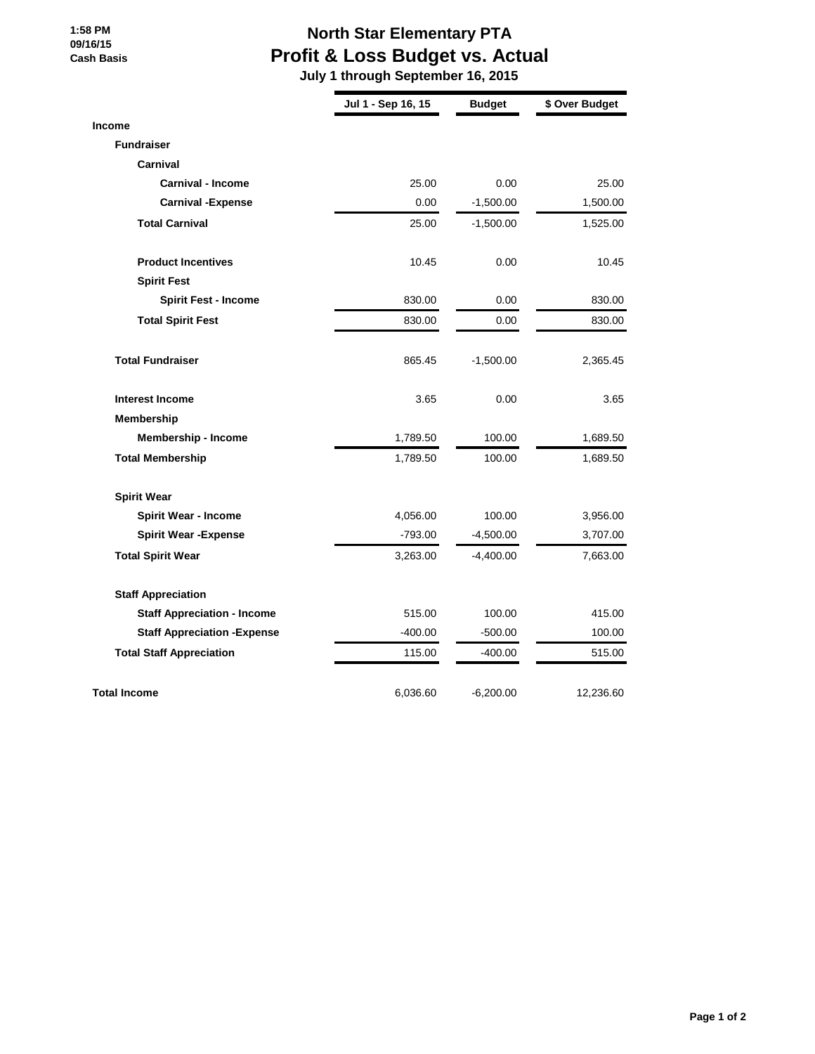## **1:58 PM 09/16/15 Cash Basis**

## **North Star Elementary PTA Profit & Loss Budget vs. Actual**

 **July 1 through September 16, 2015**

|                                     | Jul 1 - Sep 16, 15 | <b>Budget</b> | \$ Over Budget |
|-------------------------------------|--------------------|---------------|----------------|
| Income                              |                    |               |                |
| <b>Fundraiser</b>                   |                    |               |                |
| Carnival                            |                    |               |                |
| <b>Carnival - Income</b>            | 25.00              | 0.00          | 25.00          |
| <b>Carnival -Expense</b>            | 0.00               | $-1,500.00$   | 1,500.00       |
| <b>Total Carnival</b>               | 25.00              | $-1,500.00$   | 1,525.00       |
| <b>Product Incentives</b>           | 10.45              | 0.00          | 10.45          |
| <b>Spirit Fest</b>                  |                    |               |                |
| <b>Spirit Fest - Income</b>         | 830.00             | 0.00          | 830.00         |
| <b>Total Spirit Fest</b>            | 830.00             | 0.00          | 830.00         |
| <b>Total Fundraiser</b>             | 865.45             | $-1,500.00$   | 2,365.45       |
| <b>Interest Income</b>              | 3.65               | 0.00          | 3.65           |
| <b>Membership</b>                   |                    |               |                |
| Membership - Income                 | 1,789.50           | 100.00        | 1,689.50       |
| <b>Total Membership</b>             | 1,789.50           | 100.00        | 1,689.50       |
| <b>Spirit Wear</b>                  |                    |               |                |
| <b>Spirit Wear - Income</b>         | 4,056.00           | 100.00        | 3,956.00       |
| <b>Spirit Wear - Expense</b>        | $-793.00$          | $-4,500.00$   | 3,707.00       |
| <b>Total Spirit Wear</b>            | 3,263.00           | $-4,400.00$   | 7,663.00       |
| <b>Staff Appreciation</b>           |                    |               |                |
| <b>Staff Appreciation - Income</b>  | 515.00             | 100.00        | 415.00         |
| <b>Staff Appreciation - Expense</b> | $-400.00$          | $-500.00$     | 100.00         |
| <b>Total Staff Appreciation</b>     | 115.00             | $-400.00$     | 515.00         |
| <b>Total Income</b>                 | 6,036.60           | $-6,200.00$   | 12,236.60      |